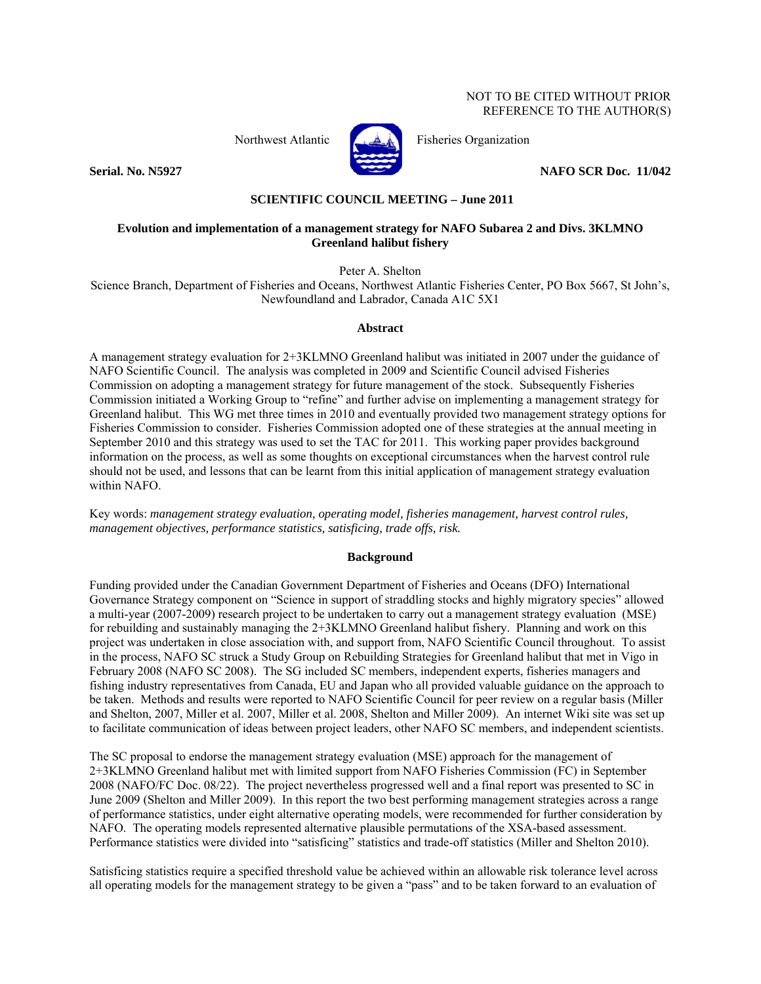#### NOT TO BE CITED WITHOUT PRIOR REFERENCE TO THE AUTHOR(S)



Northwest Atlantic Fisheries Organization

**Serial. No. N5927** NAFO SCR Doc. 11/042

## **SCIENTIFIC COUNCIL MEETING – June 2011**

### **Evolution and implementation of a management strategy for NAFO Subarea 2 and Divs. 3KLMNO Greenland halibut fishery**

Peter A. Shelton

Science Branch, Department of Fisheries and Oceans, Northwest Atlantic Fisheries Center, PO Box 5667, St John's, Newfoundland and Labrador, Canada A1C 5X1

#### **Abstract**

A management strategy evaluation for 2+3KLMNO Greenland halibut was initiated in 2007 under the guidance of NAFO Scientific Council. The analysis was completed in 2009 and Scientific Council advised Fisheries Commission on adopting a management strategy for future management of the stock. Subsequently Fisheries Commission initiated a Working Group to "refine" and further advise on implementing a management strategy for Greenland halibut. This WG met three times in 2010 and eventually provided two management strategy options for Fisheries Commission to consider. Fisheries Commission adopted one of these strategies at the annual meeting in September 2010 and this strategy was used to set the TAC for 2011. This working paper provides background information on the process, as well as some thoughts on exceptional circumstances when the harvest control rule should not be used, and lessons that can be learnt from this initial application of management strategy evaluation within NAFO.

Key words: *management strategy evaluation, operating model, fisheries management, harvest control rules, management objectives, performance statistics, satisficing, trade offs, risk.* 

#### **Background**

Funding provided under the Canadian Government Department of Fisheries and Oceans (DFO) International Governance Strategy component on "Science in support of straddling stocks and highly migratory species" allowed a multi-year (2007-2009) research project to be undertaken to carry out a management strategy evaluation (MSE) for rebuilding and sustainably managing the 2+3KLMNO Greenland halibut fishery. Planning and work on this project was undertaken in close association with, and support from, NAFO Scientific Council throughout. To assist in the process, NAFO SC struck a Study Group on Rebuilding Strategies for Greenland halibut that met in Vigo in February 2008 (NAFO SC 2008). The SG included SC members, independent experts, fisheries managers and fishing industry representatives from Canada, EU and Japan who all provided valuable guidance on the approach to be taken. Methods and results were reported to NAFO Scientific Council for peer review on a regular basis (Miller and Shelton, 2007, Miller et al. 2007, Miller et al. 2008, Shelton and Miller 2009). An internet Wiki site was set up to facilitate communication of ideas between project leaders, other NAFO SC members, and independent scientists.

The SC proposal to endorse the management strategy evaluation (MSE) approach for the management of 2+3KLMNO Greenland halibut met with limited support from NAFO Fisheries Commission (FC) in September 2008 (NAFO/FC Doc. 08/22). The project nevertheless progressed well and a final report was presented to SC in June 2009 (Shelton and Miller 2009). In this report the two best performing management strategies across a range of performance statistics, under eight alternative operating models, were recommended for further consideration by NAFO. The operating models represented alternative plausible permutations of the XSA-based assessment. Performance statistics were divided into "satisficing" statistics and trade-off statistics (Miller and Shelton 2010).

Satisficing statistics require a specified threshold value be achieved within an allowable risk tolerance level across all operating models for the management strategy to be given a "pass" and to be taken forward to an evaluation of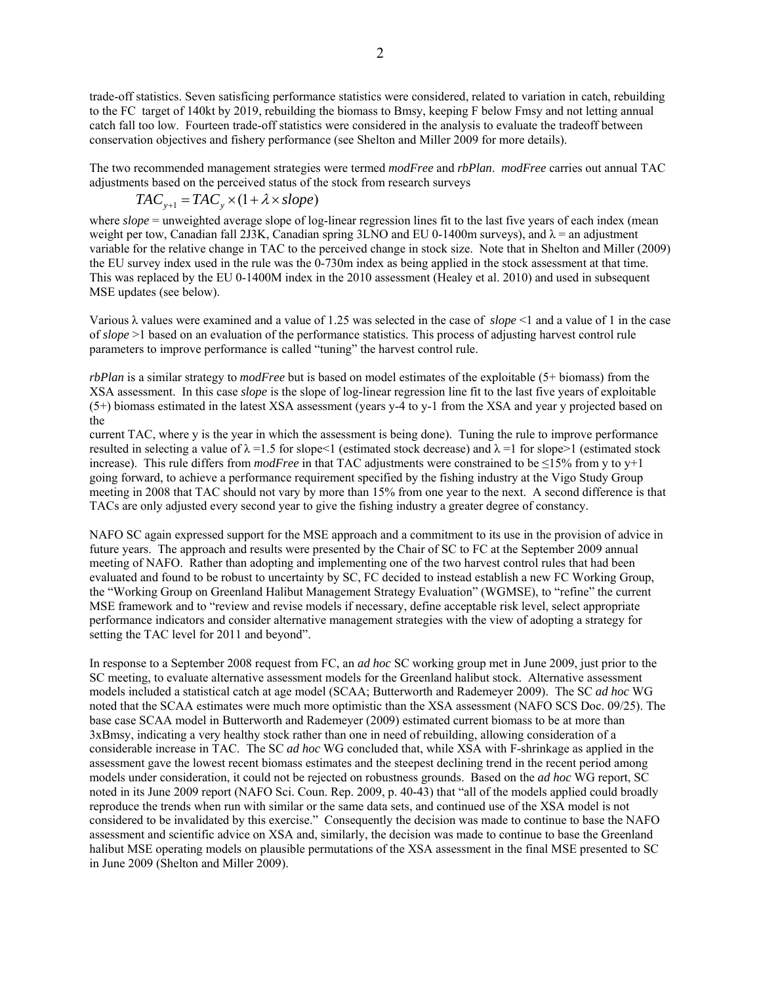2

trade-off statistics. Seven satisficing performance statistics were considered, related to variation in catch, rebuilding to the FC target of 140kt by 2019, rebuilding the biomass to Bmsy, keeping F below Fmsy and not letting annual catch fall too low. Fourteen trade-off statistics were considered in the analysis to evaluate the tradeoff between conservation objectives and fishery performance (see Shelton and Miller 2009 for more details).

The two recommended management strategies were termed *modFree* and *rbPlan*. *modFree* carries out annual TAC adjustments based on the perceived status of the stock from research surveys

$$
TAC_{y+1} = TAC_y \times (1 + \lambda \times slope)
$$

where *slope* = unweighted average slope of log-linear regression lines fit to the last five years of each index (mean weight per tow, Canadian fall 2J3K, Canadian spring 3LNO and EU 0-1400m surveys), and  $\lambda$  = an adjustment variable for the relative change in TAC to the perceived change in stock size. Note that in Shelton and Miller (2009) the EU survey index used in the rule was the 0-730m index as being applied in the stock assessment at that time. This was replaced by the EU 0-1400M index in the 2010 assessment (Healey et al. 2010) and used in subsequent MSE updates (see below).

Various λ values were examined and a value of 1.25 was selected in the case of *slope* <1 and a value of 1 in the case of *slope* >1 based on an evaluation of the performance statistics. This process of adjusting harvest control rule parameters to improve performance is called "tuning" the harvest control rule.

*rbPlan* is a similar strategy to *modFree* but is based on model estimates of the exploitable (5+ biomass) from the XSA assessment. In this case *slope* is the slope of log-linear regression line fit to the last five years of exploitable (5+) biomass estimated in the latest XSA assessment (years y-4 to y-1 from the XSA and year y projected based on the

current TAC, where y is the year in which the assessment is being done). Tuning the rule to improve performance resulted in selecting a value of  $\lambda = 1.5$  for slope<1 (estimated stock decrease) and  $\lambda = 1$  for slope>1 (estimated stock increase). This rule differs from *modFree* in that TAC adjustments were constrained to be ≤15% from y to y+1 going forward, to achieve a performance requirement specified by the fishing industry at the Vigo Study Group meeting in 2008 that TAC should not vary by more than 15% from one year to the next. A second difference is that TACs are only adjusted every second year to give the fishing industry a greater degree of constancy.

NAFO SC again expressed support for the MSE approach and a commitment to its use in the provision of advice in future years. The approach and results were presented by the Chair of SC to FC at the September 2009 annual meeting of NAFO. Rather than adopting and implementing one of the two harvest control rules that had been evaluated and found to be robust to uncertainty by SC, FC decided to instead establish a new FC Working Group, the "Working Group on Greenland Halibut Management Strategy Evaluation" (WGMSE), to "refine" the current MSE framework and to "review and revise models if necessary, define acceptable risk level, select appropriate performance indicators and consider alternative management strategies with the view of adopting a strategy for setting the TAC level for 2011 and beyond".

In response to a September 2008 request from FC, an *ad hoc* SC working group met in June 2009, just prior to the SC meeting, to evaluate alternative assessment models for the Greenland halibut stock. Alternative assessment models included a statistical catch at age model (SCAA; Butterworth and Rademeyer 2009). The SC *ad hoc* WG noted that the SCAA estimates were much more optimistic than the XSA assessment (NAFO SCS Doc. 09/25). The base case SCAA model in Butterworth and Rademeyer (2009) estimated current biomass to be at more than 3xBmsy, indicating a very healthy stock rather than one in need of rebuilding, allowing consideration of a considerable increase in TAC. The SC *ad hoc* WG concluded that, while XSA with F-shrinkage as applied in the assessment gave the lowest recent biomass estimates and the steepest declining trend in the recent period among models under consideration, it could not be rejected on robustness grounds. Based on the *ad hoc* WG report, SC noted in its June 2009 report (NAFO Sci. Coun. Rep. 2009, p. 40-43) that "all of the models applied could broadly reproduce the trends when run with similar or the same data sets, and continued use of the XSA model is not considered to be invalidated by this exercise." Consequently the decision was made to continue to base the NAFO assessment and scientific advice on XSA and, similarly, the decision was made to continue to base the Greenland halibut MSE operating models on plausible permutations of the XSA assessment in the final MSE presented to SC in June 2009 (Shelton and Miller 2009).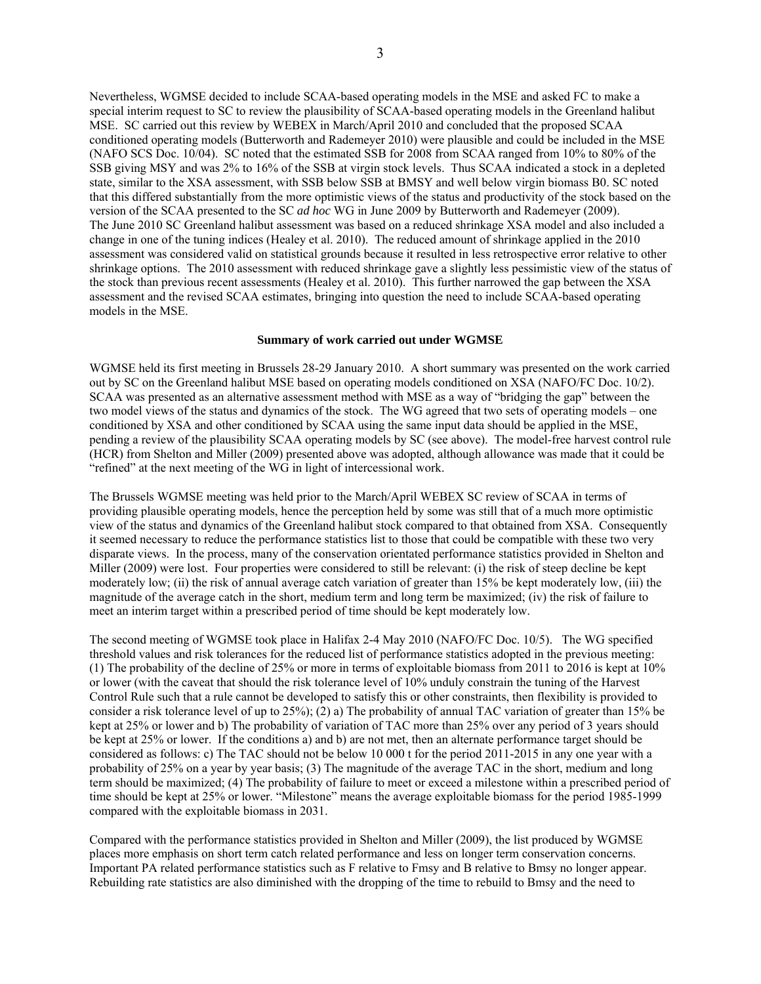Nevertheless, WGMSE decided to include SCAA-based operating models in the MSE and asked FC to make a special interim request to SC to review the plausibility of SCAA-based operating models in the Greenland halibut MSE. SC carried out this review by WEBEX in March/April 2010 and concluded that the proposed SCAA conditioned operating models (Butterworth and Rademeyer 2010) were plausible and could be included in the MSE (NAFO SCS Doc. 10/04). SC noted that the estimated SSB for 2008 from SCAA ranged from 10% to 80% of the SSB giving MSY and was 2% to 16% of the SSB at virgin stock levels. Thus SCAA indicated a stock in a depleted state, similar to the XSA assessment, with SSB below SSB at BMSY and well below virgin biomass B0. SC noted that this differed substantially from the more optimistic views of the status and productivity of the stock based on the version of the SCAA presented to the SC *ad hoc* WG in June 2009 by Butterworth and Rademeyer (2009). The June 2010 SC Greenland halibut assessment was based on a reduced shrinkage XSA model and also included a change in one of the tuning indices (Healey et al. 2010). The reduced amount of shrinkage applied in the 2010 assessment was considered valid on statistical grounds because it resulted in less retrospective error relative to other shrinkage options. The 2010 assessment with reduced shrinkage gave a slightly less pessimistic view of the status of the stock than previous recent assessments (Healey et al. 2010). This further narrowed the gap between the XSA assessment and the revised SCAA estimates, bringing into question the need to include SCAA-based operating models in the MSE.

#### **Summary of work carried out under WGMSE**

WGMSE held its first meeting in Brussels 28-29 January 2010. A short summary was presented on the work carried out by SC on the Greenland halibut MSE based on operating models conditioned on XSA (NAFO/FC Doc. 10/2). SCAA was presented as an alternative assessment method with MSE as a way of "bridging the gap" between the two model views of the status and dynamics of the stock. The WG agreed that two sets of operating models – one conditioned by XSA and other conditioned by SCAA using the same input data should be applied in the MSE, pending a review of the plausibility SCAA operating models by SC (see above). The model-free harvest control rule (HCR) from Shelton and Miller (2009) presented above was adopted, although allowance was made that it could be "refined" at the next meeting of the WG in light of intercessional work.

The Brussels WGMSE meeting was held prior to the March/April WEBEX SC review of SCAA in terms of providing plausible operating models, hence the perception held by some was still that of a much more optimistic view of the status and dynamics of the Greenland halibut stock compared to that obtained from XSA. Consequently it seemed necessary to reduce the performance statistics list to those that could be compatible with these two very disparate views. In the process, many of the conservation orientated performance statistics provided in Shelton and Miller (2009) were lost. Four properties were considered to still be relevant: (i) the risk of steep decline be kept moderately low; (ii) the risk of annual average catch variation of greater than 15% be kept moderately low, (iii) the magnitude of the average catch in the short, medium term and long term be maximized; (iv) the risk of failure to meet an interim target within a prescribed period of time should be kept moderately low.

The second meeting of WGMSE took place in Halifax 2-4 May 2010 (NAFO/FC Doc. 10/5). The WG specified threshold values and risk tolerances for the reduced list of performance statistics adopted in the previous meeting: (1) The probability of the decline of 25% or more in terms of exploitable biomass from 2011 to 2016 is kept at 10% or lower (with the caveat that should the risk tolerance level of 10% unduly constrain the tuning of the Harvest Control Rule such that a rule cannot be developed to satisfy this or other constraints, then flexibility is provided to consider a risk tolerance level of up to 25%); (2) a) The probability of annual TAC variation of greater than 15% be kept at 25% or lower and b) The probability of variation of TAC more than 25% over any period of 3 years should be kept at 25% or lower. If the conditions a) and b) are not met, then an alternate performance target should be considered as follows: c) The TAC should not be below 10 000 t for the period 2011-2015 in any one year with a probability of 25% on a year by year basis; (3) The magnitude of the average TAC in the short, medium and long term should be maximized; (4) The probability of failure to meet or exceed a milestone within a prescribed period of time should be kept at 25% or lower. "Milestone" means the average exploitable biomass for the period 1985-1999 compared with the exploitable biomass in 2031.

Compared with the performance statistics provided in Shelton and Miller (2009), the list produced by WGMSE places more emphasis on short term catch related performance and less on longer term conservation concerns. Important PA related performance statistics such as F relative to Fmsy and B relative to Bmsy no longer appear. Rebuilding rate statistics are also diminished with the dropping of the time to rebuild to Bmsy and the need to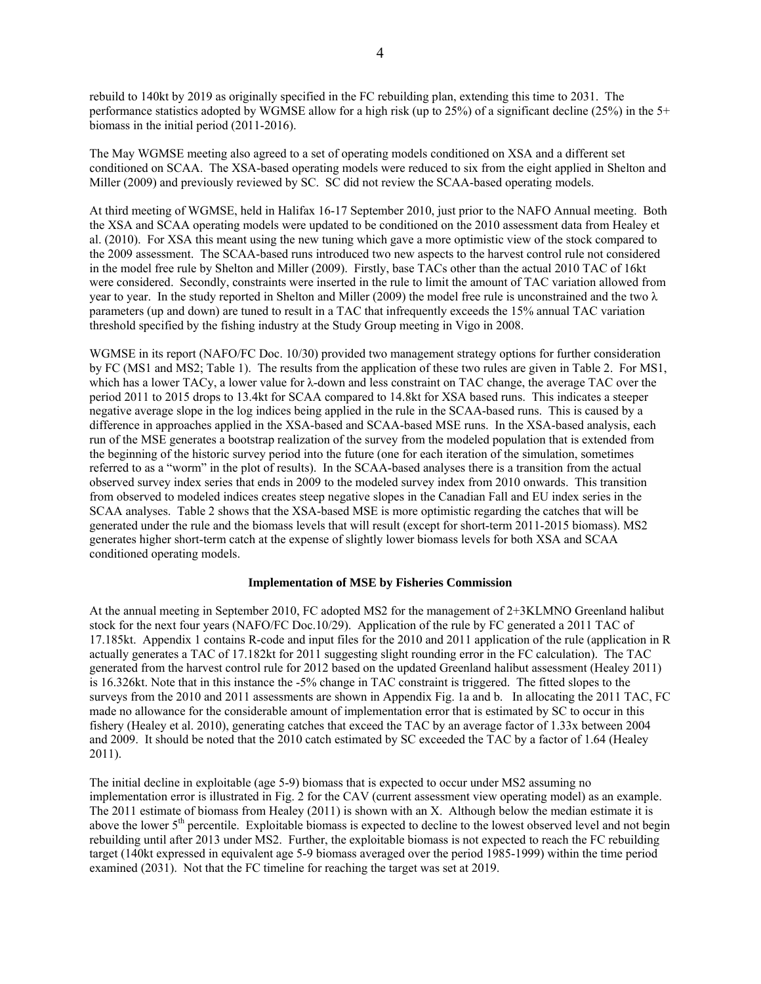rebuild to 140kt by 2019 as originally specified in the FC rebuilding plan, extending this time to 2031. The performance statistics adopted by WGMSE allow for a high risk (up to 25%) of a significant decline (25%) in the 5+ biomass in the initial period (2011-2016).

The May WGMSE meeting also agreed to a set of operating models conditioned on XSA and a different set conditioned on SCAA. The XSA-based operating models were reduced to six from the eight applied in Shelton and Miller (2009) and previously reviewed by SC. SC did not review the SCAA-based operating models.

At third meeting of WGMSE, held in Halifax 16-17 September 2010, just prior to the NAFO Annual meeting. Both the XSA and SCAA operating models were updated to be conditioned on the 2010 assessment data from Healey et al. (2010). For XSA this meant using the new tuning which gave a more optimistic view of the stock compared to the 2009 assessment. The SCAA-based runs introduced two new aspects to the harvest control rule not considered in the model free rule by Shelton and Miller (2009). Firstly, base TACs other than the actual 2010 TAC of 16kt were considered. Secondly, constraints were inserted in the rule to limit the amount of TAC variation allowed from year to year. In the study reported in Shelton and Miller (2009) the model free rule is unconstrained and the two  $\lambda$ parameters (up and down) are tuned to result in a TAC that infrequently exceeds the 15% annual TAC variation threshold specified by the fishing industry at the Study Group meeting in Vigo in 2008.

WGMSE in its report (NAFO/FC Doc. 10/30) provided two management strategy options for further consideration by FC (MS1 and MS2; Table 1). The results from the application of these two rules are given in Table 2. For MS1, which has a lower TACy, a lower value for λ-down and less constraint on TAC change, the average TAC over the period 2011 to 2015 drops to 13.4kt for SCAA compared to 14.8kt for XSA based runs. This indicates a steeper negative average slope in the log indices being applied in the rule in the SCAA-based runs. This is caused by a difference in approaches applied in the XSA-based and SCAA-based MSE runs. In the XSA-based analysis, each run of the MSE generates a bootstrap realization of the survey from the modeled population that is extended from the beginning of the historic survey period into the future (one for each iteration of the simulation, sometimes referred to as a "worm" in the plot of results). In the SCAA-based analyses there is a transition from the actual observed survey index series that ends in 2009 to the modeled survey index from 2010 onwards. This transition from observed to modeled indices creates steep negative slopes in the Canadian Fall and EU index series in the SCAA analyses. Table 2 shows that the XSA-based MSE is more optimistic regarding the catches that will be generated under the rule and the biomass levels that will result (except for short-term 2011-2015 biomass). MS2 generates higher short-term catch at the expense of slightly lower biomass levels for both XSA and SCAA conditioned operating models.

#### **Implementation of MSE by Fisheries Commission**

At the annual meeting in September 2010, FC adopted MS2 for the management of 2+3KLMNO Greenland halibut stock for the next four years (NAFO/FC Doc.10/29). Application of the rule by FC generated a 2011 TAC of 17.185kt. Appendix 1 contains R-code and input files for the 2010 and 2011 application of the rule (application in R actually generates a TAC of 17.182kt for 2011 suggesting slight rounding error in the FC calculation). The TAC generated from the harvest control rule for 2012 based on the updated Greenland halibut assessment (Healey 2011) is 16.326kt. Note that in this instance the -5% change in TAC constraint is triggered. The fitted slopes to the surveys from the 2010 and 2011 assessments are shown in Appendix Fig. 1a and b. In allocating the 2011 TAC, FC made no allowance for the considerable amount of implementation error that is estimated by SC to occur in this fishery (Healey et al. 2010), generating catches that exceed the TAC by an average factor of 1.33x between 2004 and 2009. It should be noted that the 2010 catch estimated by SC exceeded the TAC by a factor of 1.64 (Healey 2011).

The initial decline in exploitable (age 5-9) biomass that is expected to occur under MS2 assuming no implementation error is illustrated in Fig. 2 for the CAV (current assessment view operating model) as an example. The 2011 estimate of biomass from Healey (2011) is shown with an X. Although below the median estimate it is above the lower 5<sup>th</sup> percentile. Exploitable biomass is expected to decline to the lowest observed level and not begin rebuilding until after 2013 under MS2. Further, the exploitable biomass is not expected to reach the FC rebuilding target (140kt expressed in equivalent age 5-9 biomass averaged over the period 1985-1999) within the time period examined (2031). Not that the FC timeline for reaching the target was set at 2019.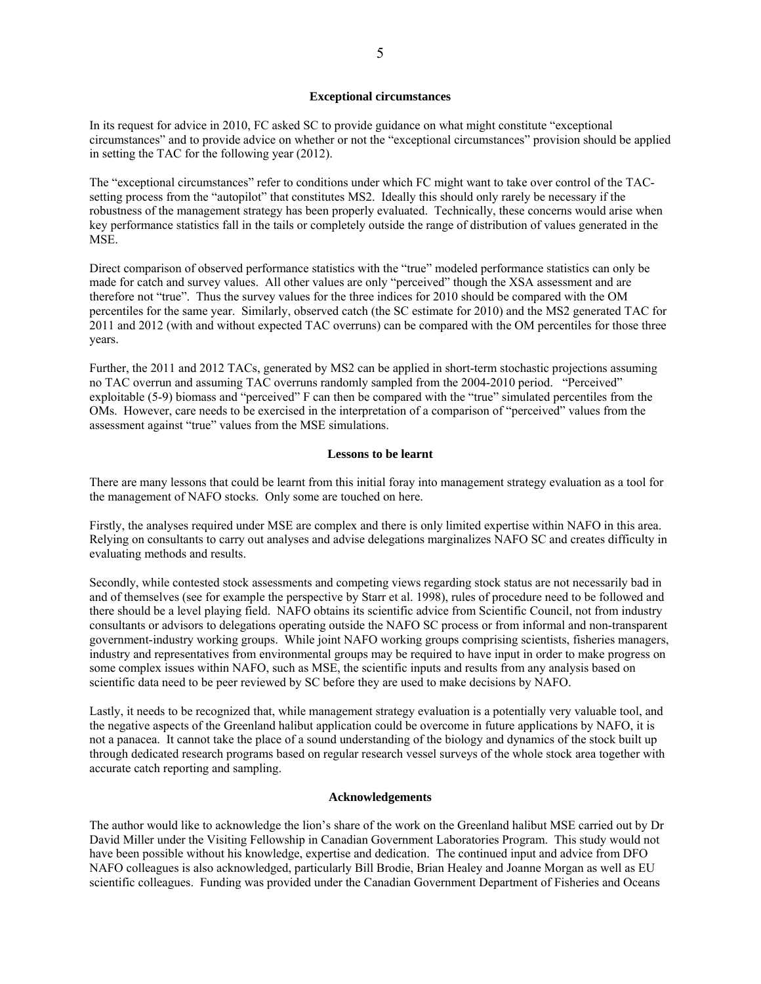#### **Exceptional circumstances**

In its request for advice in 2010, FC asked SC to provide guidance on what might constitute "exceptional circumstances" and to provide advice on whether or not the "exceptional circumstances" provision should be applied in setting the TAC for the following year (2012).

The "exceptional circumstances" refer to conditions under which FC might want to take over control of the TACsetting process from the "autopilot" that constitutes MS2. Ideally this should only rarely be necessary if the robustness of the management strategy has been properly evaluated. Technically, these concerns would arise when key performance statistics fall in the tails or completely outside the range of distribution of values generated in the MSE.

Direct comparison of observed performance statistics with the "true" modeled performance statistics can only be made for catch and survey values. All other values are only "perceived" though the XSA assessment and are therefore not "true". Thus the survey values for the three indices for 2010 should be compared with the OM percentiles for the same year. Similarly, observed catch (the SC estimate for 2010) and the MS2 generated TAC for 2011 and 2012 (with and without expected TAC overruns) can be compared with the OM percentiles for those three years.

Further, the 2011 and 2012 TACs, generated by MS2 can be applied in short-term stochastic projections assuming no TAC overrun and assuming TAC overruns randomly sampled from the 2004-2010 period. "Perceived" exploitable (5-9) biomass and "perceived" F can then be compared with the "true" simulated percentiles from the OMs. However, care needs to be exercised in the interpretation of a comparison of "perceived" values from the assessment against "true" values from the MSE simulations.

#### **Lessons to be learnt**

There are many lessons that could be learnt from this initial foray into management strategy evaluation as a tool for the management of NAFO stocks. Only some are touched on here.

Firstly, the analyses required under MSE are complex and there is only limited expertise within NAFO in this area. Relying on consultants to carry out analyses and advise delegations marginalizes NAFO SC and creates difficulty in evaluating methods and results.

Secondly, while contested stock assessments and competing views regarding stock status are not necessarily bad in and of themselves (see for example the perspective by Starr et al. 1998), rules of procedure need to be followed and there should be a level playing field. NAFO obtains its scientific advice from Scientific Council, not from industry consultants or advisors to delegations operating outside the NAFO SC process or from informal and non-transparent government-industry working groups. While joint NAFO working groups comprising scientists, fisheries managers, industry and representatives from environmental groups may be required to have input in order to make progress on some complex issues within NAFO, such as MSE, the scientific inputs and results from any analysis based on scientific data need to be peer reviewed by SC before they are used to make decisions by NAFO.

Lastly, it needs to be recognized that, while management strategy evaluation is a potentially very valuable tool, and the negative aspects of the Greenland halibut application could be overcome in future applications by NAFO, it is not a panacea. It cannot take the place of a sound understanding of the biology and dynamics of the stock built up through dedicated research programs based on regular research vessel surveys of the whole stock area together with accurate catch reporting and sampling.

#### **Acknowledgements**

The author would like to acknowledge the lion's share of the work on the Greenland halibut MSE carried out by Dr David Miller under the Visiting Fellowship in Canadian Government Laboratories Program. This study would not have been possible without his knowledge, expertise and dedication. The continued input and advice from DFO NAFO colleagues is also acknowledged, particularly Bill Brodie, Brian Healey and Joanne Morgan as well as EU scientific colleagues. Funding was provided under the Canadian Government Department of Fisheries and Oceans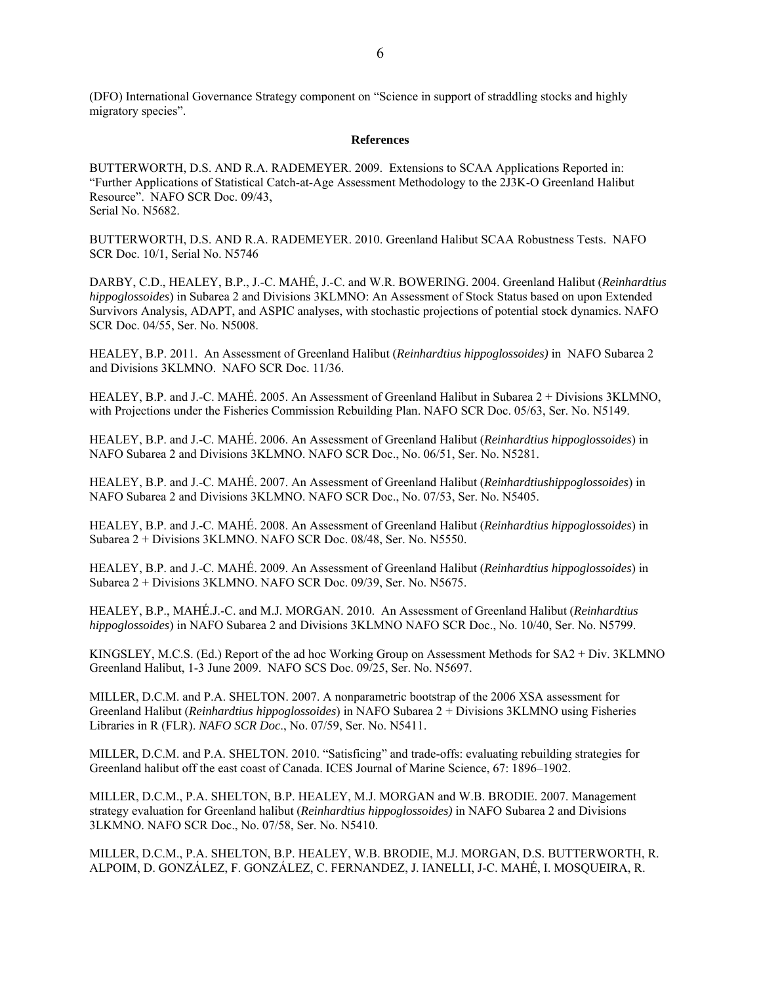(DFO) International Governance Strategy component on "Science in support of straddling stocks and highly migratory species".

#### **References**

BUTTERWORTH, D.S. AND R.A. RADEMEYER. 2009. Extensions to SCAA Applications Reported in: "Further Applications of Statistical Catch-at-Age Assessment Methodology to the 2J3K-O Greenland Halibut Resource". NAFO SCR Doc. 09/43, Serial No. N5682.

BUTTERWORTH, D.S. AND R.A. RADEMEYER. 2010. Greenland Halibut SCAA Robustness Tests. NAFO SCR Doc. 10/1, Serial No. N5746

DARBY, C.D., HEALEY, B.P., J.-C. MAHÉ, J.-C. and W.R. BOWERING. 2004. Greenland Halibut (*Reinhardtius hippoglossoides*) in Subarea 2 and Divisions 3KLMNO: An Assessment of Stock Status based on upon Extended Survivors Analysis, ADAPT, and ASPIC analyses, with stochastic projections of potential stock dynamics. NAFO SCR Doc. 04/55, Ser. No. N5008.

HEALEY, B.P. 2011. An Assessment of Greenland Halibut (*Reinhardtius hippoglossoides)* in NAFO Subarea 2 and Divisions 3KLMNO. NAFO SCR Doc. 11/36.

HEALEY, B.P. and J.-C. MAHÉ. 2005. An Assessment of Greenland Halibut in Subarea 2 + Divisions 3KLMNO, with Projections under the Fisheries Commission Rebuilding Plan. NAFO SCR Doc. 05/63, Ser. No. N5149.

HEALEY, B.P. and J.-C. MAHÉ. 2006. An Assessment of Greenland Halibut (*Reinhardtius hippoglossoides*) in NAFO Subarea 2 and Divisions 3KLMNO. NAFO SCR Doc., No. 06/51, Ser. No. N5281.

HEALEY, B.P. and J.-C. MAHÉ. 2007. An Assessment of Greenland Halibut (*Reinhardtiushippoglossoides*) in NAFO Subarea 2 and Divisions 3KLMNO. NAFO SCR Doc., No. 07/53, Ser. No. N5405.

HEALEY, B.P. and J.-C. MAHÉ. 2008. An Assessment of Greenland Halibut (*Reinhardtius hippoglossoides*) in Subarea 2 + Divisions 3KLMNO. NAFO SCR Doc. 08/48, Ser. No. N5550.

HEALEY, B.P. and J.-C. MAHÉ. 2009. An Assessment of Greenland Halibut (*Reinhardtius hippoglossoides*) in Subarea 2 + Divisions 3KLMNO. NAFO SCR Doc. 09/39, Ser. No. N5675.

HEALEY, B.P., MAHÉ.J.-C. and M.J. MORGAN. 2010. An Assessment of Greenland Halibut (*Reinhardtius hippoglossoides*) in NAFO Subarea 2 and Divisions 3KLMNO NAFO SCR Doc., No. 10/40, Ser. No. N5799.

KINGSLEY, M.C.S. (Ed.) Report of the ad hoc Working Group on Assessment Methods for SA2 + Div. 3KLMNO Greenland Halibut, 1-3 June 2009. NAFO SCS Doc. 09/25, Ser. No. N5697.

MILLER, D.C.M. and P.A. SHELTON. 2007. A nonparametric bootstrap of the 2006 XSA assessment for Greenland Halibut (*Reinhardtius hippoglossoides*) in NAFO Subarea 2 + Divisions 3KLMNO using Fisheries Libraries in R (FLR). *NAFO SCR Doc*., No. 07/59, Ser. No. N5411.

MILLER, D.C.M. and P.A. SHELTON. 2010. "Satisficing" and trade-offs: evaluating rebuilding strategies for Greenland halibut off the east coast of Canada. ICES Journal of Marine Science, 67: 1896–1902.

MILLER, D.C.M., P.A. SHELTON, B.P. HEALEY, M.J. MORGAN and W.B. BRODIE. 2007. Management strategy evaluation for Greenland halibut (*Reinhardtius hippoglossoides)* in NAFO Subarea 2 and Divisions 3LKMNO. NAFO SCR Doc., No. 07/58, Ser. No. N5410.

MILLER, D.C.M., P.A. SHELTON, B.P. HEALEY, W.B. BRODIE, M.J. MORGAN, D.S. BUTTERWORTH, R. ALPOIM, D. GONZÁLEZ, F. GONZÁLEZ, C. FERNANDEZ, J. IANELLI, J-C. MAHÉ, I. MOSQUEIRA, R.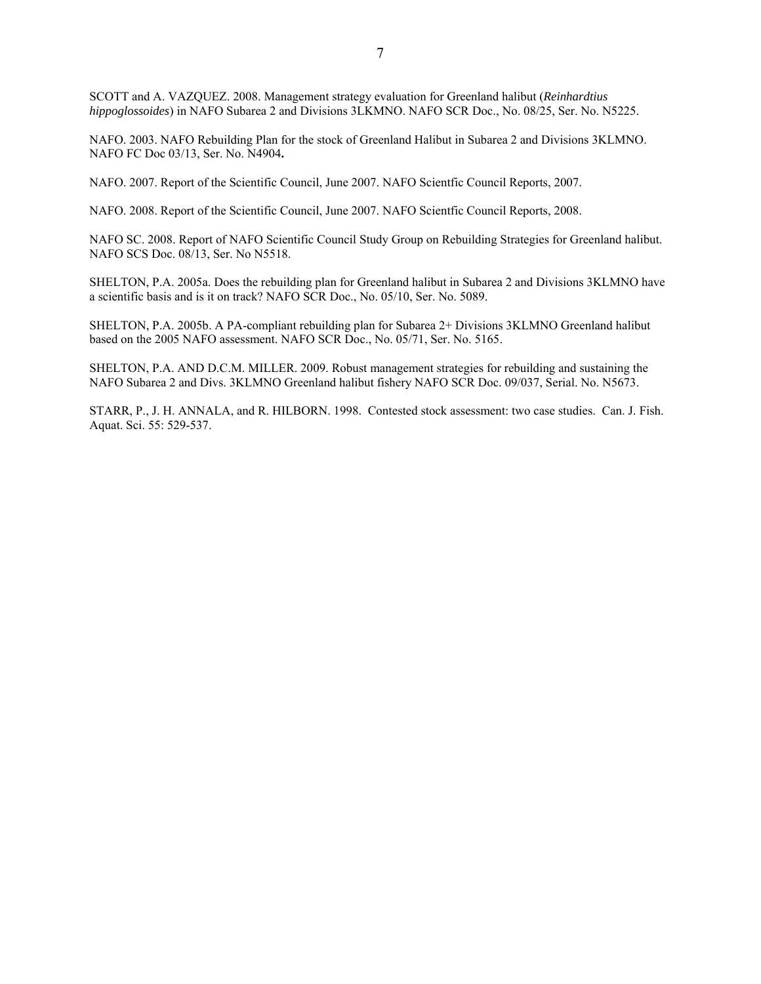SCOTT and A. VAZQUEZ. 2008. Management strategy evaluation for Greenland halibut (*Reinhardtius hippoglossoides*) in NAFO Subarea 2 and Divisions 3LKMNO. NAFO SCR Doc., No. 08/25, Ser. No. N5225.

NAFO. 2003. NAFO Rebuilding Plan for the stock of Greenland Halibut in Subarea 2 and Divisions 3KLMNO. NAFO FC Doc 03/13, Ser. No. N4904**.** 

NAFO. 2007. Report of the Scientific Council, June 2007. NAFO Scientfic Council Reports, 2007.

NAFO. 2008. Report of the Scientific Council, June 2007. NAFO Scientfic Council Reports, 2008.

NAFO SC. 2008. Report of NAFO Scientific Council Study Group on Rebuilding Strategies for Greenland halibut. NAFO SCS Doc. 08/13, Ser. No N5518.

SHELTON, P.A. 2005a. Does the rebuilding plan for Greenland halibut in Subarea 2 and Divisions 3KLMNO have a scientific basis and is it on track? NAFO SCR Doc., No. 05/10, Ser. No. 5089.

SHELTON, P.A. 2005b. A PA-compliant rebuilding plan for Subarea 2+ Divisions 3KLMNO Greenland halibut based on the 2005 NAFO assessment. NAFO SCR Doc., No. 05/71, Ser. No. 5165.

SHELTON, P.A. AND D.C.M. MILLER. 2009. Robust management strategies for rebuilding and sustaining the NAFO Subarea 2 and Divs. 3KLMNO Greenland halibut fishery NAFO SCR Doc. 09/037, Serial. No. N5673.

STARR, P., J. H. ANNALA, and R. HILBORN. 1998. Contested stock assessment: two case studies. Can. J. Fish. Aquat. Sci. 55: 529-537.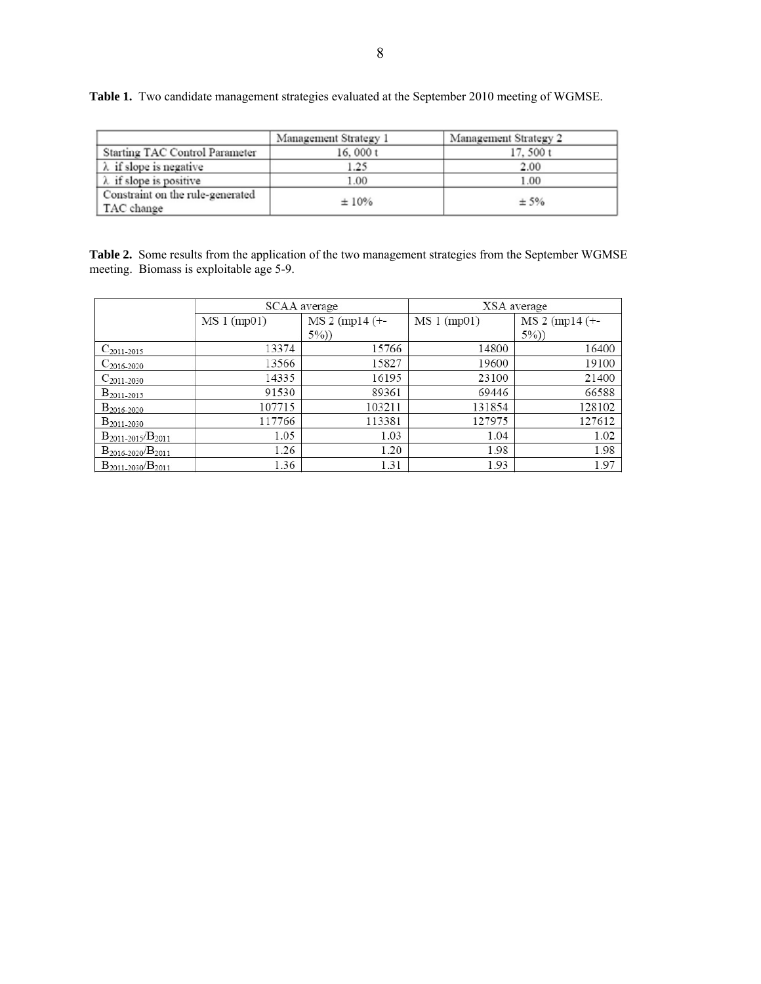|                                                | Management Strategy 1 | Management Strategy 2 |
|------------------------------------------------|-----------------------|-----------------------|
| Starting TAC Control Parameter                 | 16,000 $t$            | 17.500 t              |
| $\lambda$ if slope is negative                 | 1.25                  | 2.00                  |
| $\lambda$ if slope is positive                 | 1.00                  | 1.00                  |
| Constraint on the rule-generated<br>TAC change | ±10%                  | ± 5%                  |

**Table 1.** Two candidate management strategies evaluated at the September 2010 meeting of WGMSE.

**Table 2.** Some results from the application of the two management strategies from the September WGMSE meeting. Biomass is exploitable age 5-9.

|                          |             | SCAA average     | XSA average |                  |
|--------------------------|-------------|------------------|-------------|------------------|
|                          | MS 1 (mp01) | $MS 2 (mpl4 (+-$ | MS1 (mp01)  | $MS 2 (mpl4 (+-$ |
|                          |             | (5%)             |             | (5%)             |
| $C_{2011-2015}$          | 13374       | 15766            | 14800       | 16400            |
| $C_{2016-2020}$          | 13566       | 15827            | 19600       | 19100            |
| $C_{2011-2030}$          | 14335       | 16195            | 23100       | 21400            |
| $B_{2011-2015}$          | 91530       | 89361            | 69446       | 66588            |
| B <sub>2016-2020</sub>   | 107715      | 103211           | 131854      | 128102           |
| $B_{2011-2030}$          | 117766      | 113381           | 127975      | 127612           |
| $B_{2011-2015}/B_{2011}$ | 1.05        | 1.03             | 1.04        | 1.02             |
| $B_{2016-2020}/B_{2011}$ | 1.26        | 1.20             | 1.98        | 1.98             |
| $B_{2011-2030}/B_{2011}$ | 1.36        | 1.31             | 1.93        | 1.97             |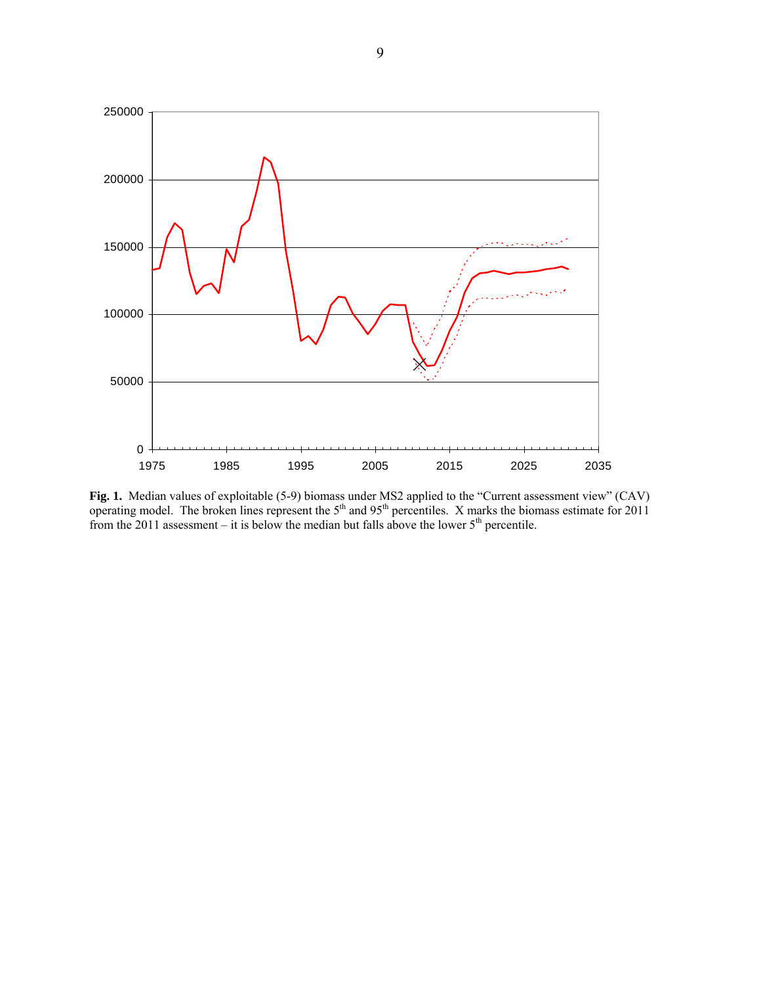

**Fig. 1.** Median values of exploitable (5-9) biomass under MS2 applied to the "Current assessment view" (CAV) operating model. The broken lines represent the  $5<sup>th</sup>$  and  $95<sup>th</sup>$  percentiles. X marks the biomass estimate for 2011 from the 2011 assessment – it is below the median but falls above the lower  $5<sup>th</sup>$  percentile.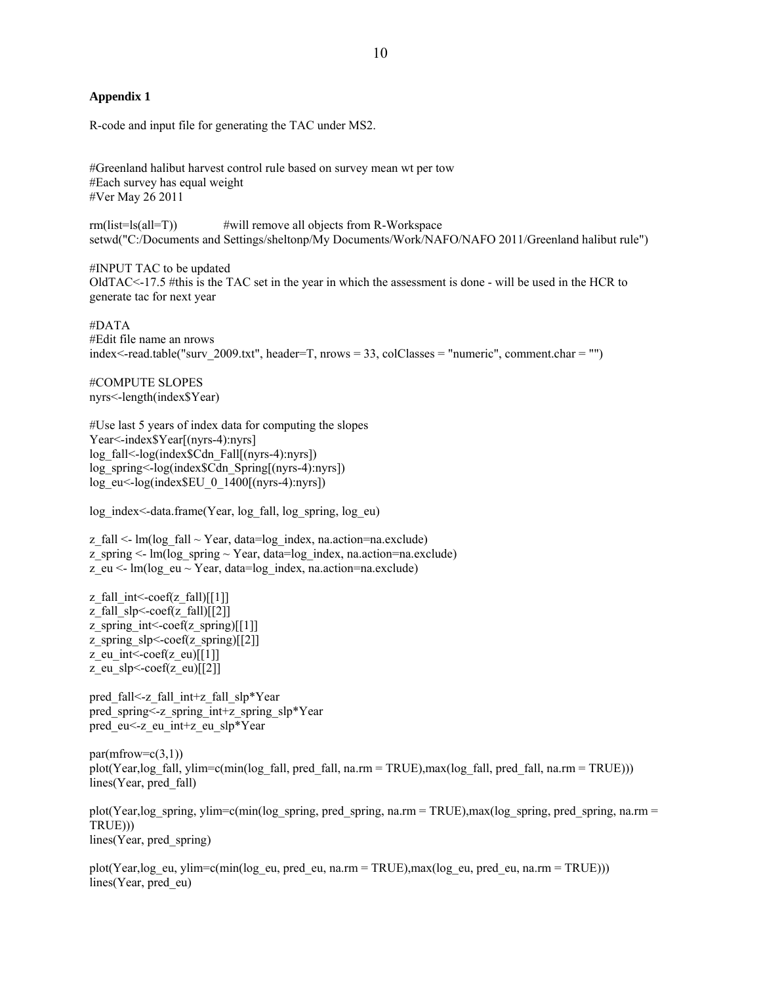#### **Appendix 1**

R-code and input file for generating the TAC under MS2.

#Greenland halibut harvest control rule based on survey mean wt per tow #Each survey has equal weight #Ver May 26 2011

rm(list=ls(all=T)) #will remove all objects from R-Workspace setwd("C:/Documents and Settings/sheltonp/My Documents/Work/NAFO/NAFO 2011/Greenland halibut rule")

#INPUT TAC to be updated OldTAC<-17.5 #this is the TAC set in the year in which the assessment is done - will be used in the HCR to generate tac for next year

#DATA #Edit file name an nrows index<-read.table("surv\_2009.txt", header=T, nrows = 33, colClasses = "numeric", comment.char = "")

#COMPUTE SLOPES nyrs<-length(index\$Year)

#Use last 5 years of index data for computing the slopes Year<-index\$Year[(nyrs-4):nyrs] log\_fall<-log(index\$Cdn\_Fall[(nyrs-4):nyrs]) log\_spring<-log(index\$Cdn\_Spring[(nyrs-4):nyrs]) log\_eu<-log(index\$EU\_0\_1400[(nyrs-4):nyrs])

log\_index<-data.frame(Year, log\_fall, log\_spring, log\_eu)

 $z$ <sub>[fall <- lm(log<sub>[fall  $\sim$  Year, data=log<sub>[index, na.action=na.exclude]</sub>)</sub></sub> z spring  $\leq$  lm(log spring  $\sim$  Year, data=log index, na.action=na.exclude) z\_eu <- lm(log\_eu ~ Year, data=log\_index, na.action=na.exclude)

z\_fall\_int <- $\text{coeff}(z$ \_fall) $[[1]]$ z\_fall\_slp<-coef(z\_fall)[[2]] z\_spring\_int <- $\text{coef}(z)$ \_spring)[[1]] z\_spring\_slp<-coef(z\_spring)[[2]] z\_eu\_int<-coef(z\_eu)[[1]]  $z$ \_eu\_slp<-coef( $z$ \_eu)[[2]]

pred fall<-z\_fall\_int+z\_fall\_slp\*Year pred\_spring<-z\_spring\_int+z\_spring\_slp\*Year pred\_eu<-z\_eu\_int+z\_eu\_slp\*Year

 $par(mfrow=c(3,1))$ plot(Year,log fall, ylim=c(min(log fall, pred fall, na.rm = TRUE),max(log fall, pred fall, na.rm = TRUE))) lines(Year, pred\_fall)

plot(Year,log\_spring, ylim=c(min(log\_spring, pred\_spring, na.rm = TRUE),max(log\_spring, pred\_spring, na.rm = TRUE))) lines(Year, pred\_spring)

plot(Year,log\_eu, ylim=c(min(log\_eu, pred\_eu, na.rm = TRUE),max(log\_eu, pred\_eu, na.rm = TRUE))) lines(Year, pred\_eu)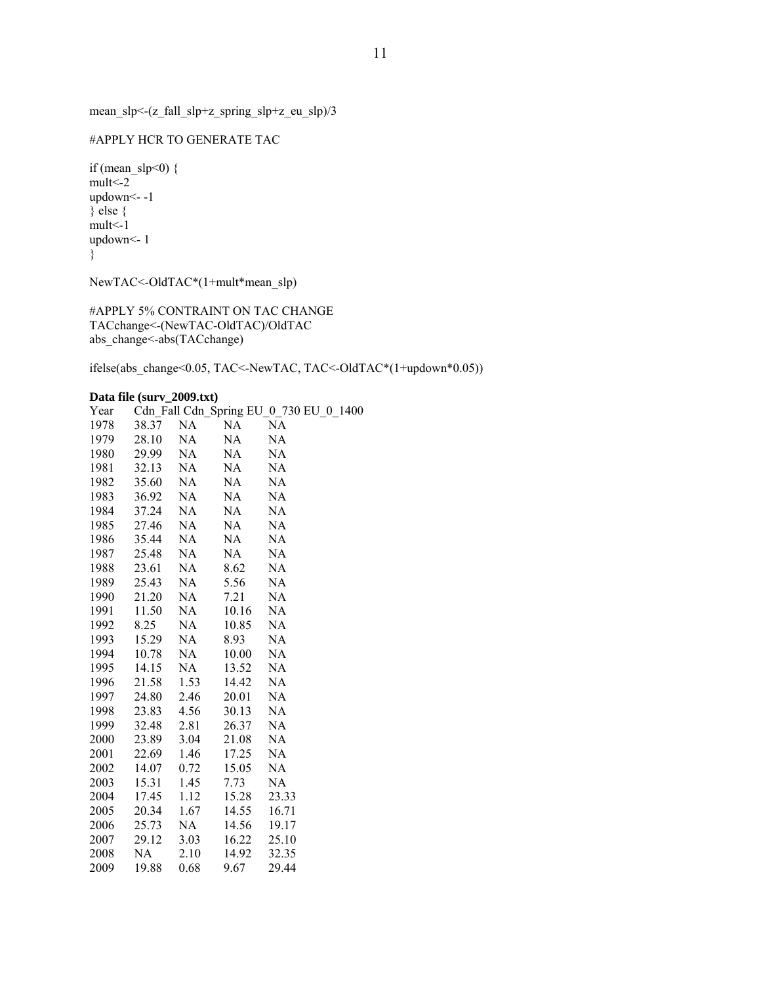mean\_slp<-(z\_fall\_slp+z\_spring\_slp+z\_eu\_slp)/3

#### #APPLY HCR TO GENERATE TAC

if (mean\_slp<0)  $\{$  $mult< -2$ updown<- -1 } else { mult<-1 updown<- 1 }

NewTAC<-OldTAC\*(1+mult\*mean\_slp)

#APPLY 5% CONTRAINT ON TAC CHANGE TACchange<-(NewTAC-OldTAC)/OldTAC abs\_change<-abs(TACchange)

ifelse(abs\_change<0.05, TAC<-NewTAC, TAC<-OldTAC\*(1+updown\*0.05))

# **Data file (surv\_2009.txt)**

|      | Data file (surv 2009.txt) |      |           |                                        |
|------|---------------------------|------|-----------|----------------------------------------|
| Year |                           |      |           | Cdn Fall Cdn Spring EU 0 730 EU 0 1400 |
| 1978 | 38.37                     | NA   | <b>NA</b> | NA                                     |
| 1979 | 28.10                     | NA   | NA        | NA                                     |
| 1980 | 29.99                     | NA   | NA        | NA                                     |
| 1981 | 32.13                     | NA   | NA        | NA                                     |
| 1982 | 35.60                     | NA   | NA        | NA                                     |
| 1983 | 36.92                     | NA.  | NA.       | NA                                     |
| 1984 | 37.24                     | NA   | NA.       | NA                                     |
| 1985 | 27.46                     | NA   | NA        | NA                                     |
| 1986 | 35.44                     | NA   | NA        | NA                                     |
| 1987 | 25.48                     | NA   | NA        | <b>NA</b>                              |
| 1988 | 23.61                     | NA   | 8.62      | NA                                     |
| 1989 | 25.43                     | NA   | 5.56      | NA                                     |
| 1990 | 21.20                     | NA   | 7.21      | <b>NA</b>                              |
| 1991 | 11.50                     | NA   | 10.16     | NA                                     |
| 1992 | 8.25                      | NA   | 10.85     | NA                                     |
| 1993 | 15.29                     | NA   | 8.93      | NA                                     |
| 1994 | 10.78                     | NA   | 10.00     | NA                                     |
| 1995 | 14.15                     | NA   | 13.52     | NA                                     |
| 1996 | 21.58                     | 1.53 | 14.42     | NA                                     |
| 1997 | 24.80                     | 2.46 | 20.01     | NA                                     |
| 1998 | 23.83                     | 4.56 | 30.13     | NA                                     |
| 1999 | 32.48                     | 2.81 | 26.37     | NA                                     |
| 2000 | 23.89                     | 3.04 | 21.08     | NA                                     |
| 2001 | 22.69                     | 1.46 | 17.25     | NA                                     |
| 2002 | 14.07                     | 0.72 | 15.05     | NA                                     |
| 2003 | 15.31                     | 1.45 | 7.73      | NA                                     |
| 2004 | 17.45                     | 1.12 | 15.28     | 23.33                                  |
| 2005 | 20.34                     | 1.67 | 14.55     | 16.71                                  |
| 2006 | 25.73                     | NA   | 14.56     | 19.17                                  |
| 2007 | 29.12                     | 3.03 | 16.22     | 25.10                                  |
| 2008 | <b>NA</b>                 | 2.10 | 14.92     | 32.35                                  |
| 2009 | 19.88                     | 0.68 | 9.67      | 29.44                                  |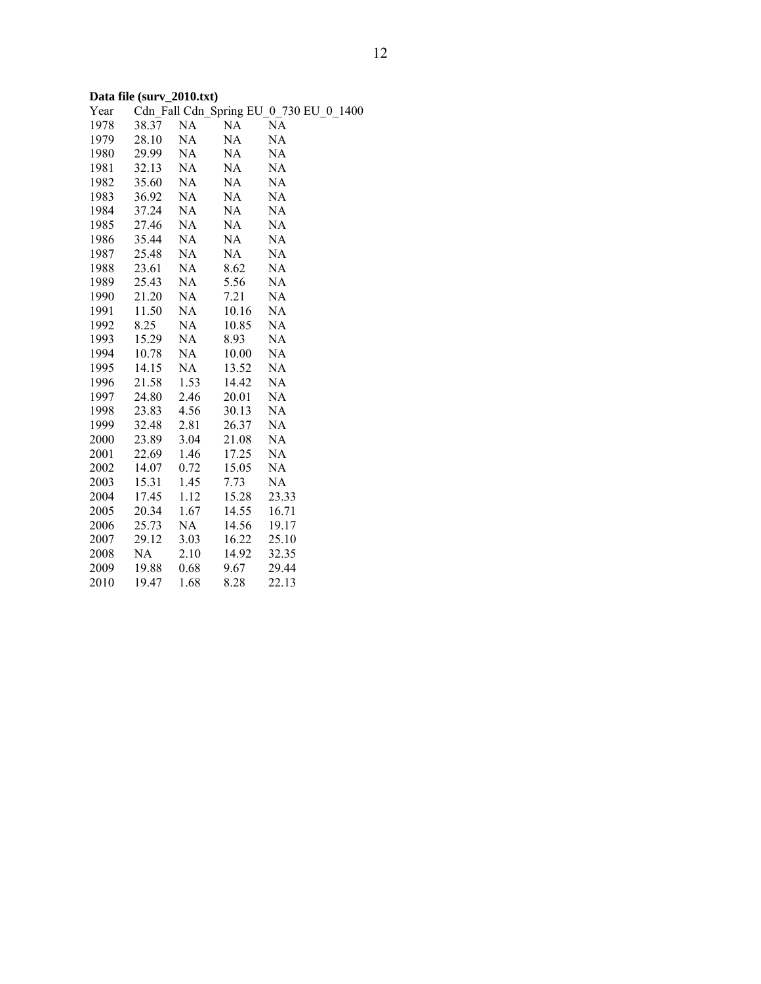# **Data file (surv\_2010.txt)**

| Year |       |      |       | Cdn_Fall Cdn_Spring EU_0_730 EU_0_1400 |
|------|-------|------|-------|----------------------------------------|
| 1978 | 38.37 | NA   | NA    | <b>NA</b>                              |
| 1979 | 28.10 | NA   | NA    | NA                                     |
| 1980 | 29.99 | NA   | NA    | NA                                     |
| 1981 | 32.13 | NA   | NA    | <b>NA</b>                              |
| 1982 | 35.60 | NA   | NA    | <b>NA</b>                              |
| 1983 | 36.92 | NA   | NA    | NA                                     |
| 1984 | 37.24 | NA   | NA    | NA                                     |
| 1985 | 27.46 | NA   | NA    | NA                                     |
| 1986 | 35.44 | NA   | NA    | NA                                     |
| 1987 | 25.48 | NA   | NA    | NA                                     |
| 1988 | 23.61 | NA   | 8.62  | NA                                     |
| 1989 | 25.43 | NA   | 5.56  | NA                                     |
| 1990 | 21.20 | NA   | 7.21  | NA                                     |
| 1991 | 11.50 | NA   | 10.16 | NA                                     |
| 1992 | 8.25  | NA   | 10.85 | <b>NA</b>                              |
| 1993 | 15.29 | NA   | 8.93  | NA                                     |
| 1994 | 10.78 | NA   | 10.00 | NA                                     |
| 1995 | 14.15 | NA   | 13.52 | NA                                     |
| 1996 | 21.58 | 1.53 | 14.42 | NA                                     |
| 1997 | 24.80 | 2.46 | 20.01 | NA                                     |
| 1998 | 23.83 | 4.56 | 30.13 | NA                                     |
| 1999 | 32.48 | 2.81 | 26.37 | NA                                     |
| 2000 | 23.89 | 3.04 | 21.08 | NA                                     |
| 2001 | 22.69 | 1.46 | 17.25 | NA                                     |
| 2002 | 14.07 | 0.72 | 15.05 | NA                                     |
| 2003 | 15.31 | 1.45 | 7.73  | NA                                     |
| 2004 | 17.45 | 1.12 | 15.28 | 23.33                                  |
| 2005 | 20.34 | 1.67 | 14.55 | 16.71                                  |
| 2006 | 25.73 | NA   | 14.56 | 19.17                                  |
| 2007 | 29.12 | 3.03 | 16.22 | 25.10                                  |
| 2008 | NA    | 2.10 | 14.92 | 32.35                                  |
| 2009 | 19.88 | 0.68 | 9.67  | 29.44                                  |
| 2010 | 19.47 | 1.68 | 8.28  | 22.13                                  |
|      |       |      |       |                                        |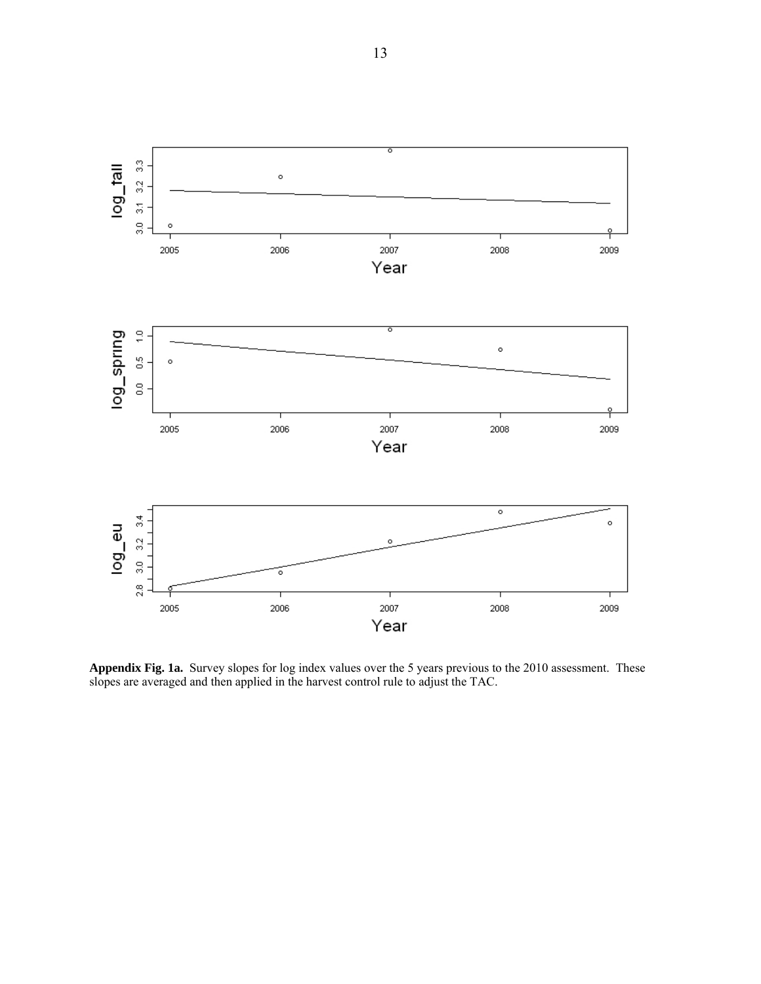13



**Appendix Fig. 1a.** Survey slopes for log index values over the 5 years previous to the 2010 assessment. These slopes are averaged and then applied in the harvest control rule to adjust the TAC.